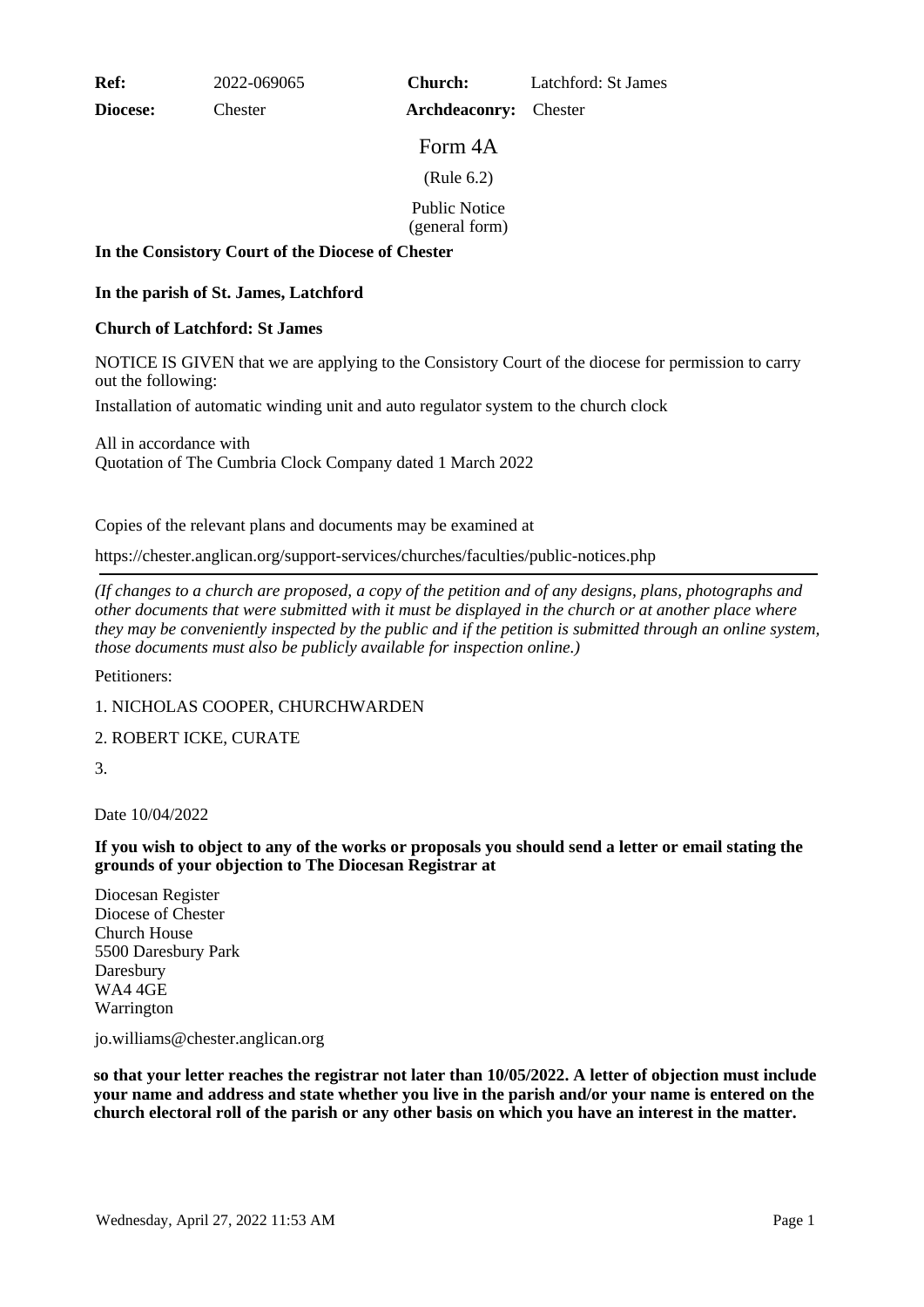**Ref:** 2022-069065

**Diocese:** Chester

**Church:** Latchford: St James

Form 4A

**Archdeaconry:** Chester

(Rule 6.2)

Public Notice

(general form)

#### **In the Consistory Court of the Diocese of Chester**

## **In the parish of St. James, Latchford**

### **Church of Latchford: St James**

NOTICE IS GIVEN that we are applying to the Consistory Court of the diocese for permission to carry out the following:

Installation of automatic winding unit and auto regulator system to the church clock

All in accordance with Quotation of The Cumbria Clock Company dated 1 March 2022

Copies of the relevant plans and documents may be examined at

https://chester.anglican.org/support-services/churches/faculties/public-notices.php

*(If changes to a church are proposed, a copy of the petition and of any designs, plans, photographs and other documents that were submitted with it must be displayed in the church or at another place where they may be conveniently inspected by the public and if the petition is submitted through an online system, those documents must also be publicly available for inspection online.)*

Petitioners:

1. NICHOLAS COOPER, CHURCHWARDEN

# 2. ROBERT ICKE, CURATE

3.

Date 10/04/2022

**If you wish to object to any of the works or proposals you should send a letter or email stating the grounds of your objection to The Diocesan Registrar at**

Diocesan Register Diocese of Chester Church House 5500 Daresbury Park Daresbury WA4 4GE Warrington

jo.williams@chester.anglican.org

**so that your letter reaches the registrar not later than 10/05/2022. A letter of objection must include your name and address and state whether you live in the parish and/or your name is entered on the church electoral roll of the parish or any other basis on which you have an interest in the matter.**